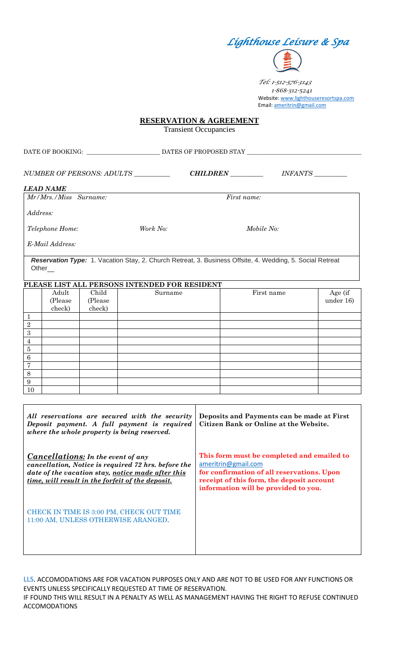

*Tel: 1-512-576-3143 1-868-312-5241* Website[: www.lighthouseresortspa.com](http://www.lighthouseresortspa.com/) Email[: ameritrin@gmail.com](mailto:ameritrin@gmail.com)

┑

**RESERVATION & AGREEMENT**

Transient Occupancies

| DATE OF BOOKING: DATES OF PROPOSED STAY                                                                   |          |          |                           |                            |           |  |  |  |
|-----------------------------------------------------------------------------------------------------------|----------|----------|---------------------------|----------------------------|-----------|--|--|--|
|                                                                                                           |          |          |                           |                            |           |  |  |  |
|                                                                                                           |          |          | NUMBER OF PERSONS: ADULTS | CHILDREN<br><i>INFANTS</i> |           |  |  |  |
| <i><b>LEAD NAME</b></i>                                                                                   |          |          |                           |                            |           |  |  |  |
| Mr/Mrs./Miss Surname:                                                                                     |          |          | <i>First name:</i>        |                            |           |  |  |  |
| Address:                                                                                                  |          |          |                           |                            |           |  |  |  |
| Telephone Home:                                                                                           |          |          | Work No:                  | Mobile No:                 |           |  |  |  |
| E-Mail Address:                                                                                           |          |          |                           |                            |           |  |  |  |
| Reservation Type: 1. Vacation Stay, 2. Church Retreat, 3. Business Offsite, 4. Wedding, 5. Social Retreat |          |          |                           |                            |           |  |  |  |
| Other_                                                                                                    |          |          |                           |                            |           |  |  |  |
|                                                                                                           |          |          |                           |                            |           |  |  |  |
| PLEASE LIST ALL PERSONS INTENDED FOR RESIDENT                                                             |          |          |                           |                            |           |  |  |  |
|                                                                                                           | Adult    | Child    | Surname                   | First name                 | Age (if   |  |  |  |
|                                                                                                           | (Please) | (Please) |                           |                            | under 16) |  |  |  |
|                                                                                                           | check)   | check)   |                           |                            |           |  |  |  |

| റ               |  |  |  |
|-----------------|--|--|--|
| ິ<br>$\cdot$    |  |  |  |
| ٠,              |  |  |  |
| r<br>ಀ          |  |  |  |
| $\sqrt{2}$<br>O |  |  |  |
| Ð               |  |  |  |
| $\Omega$<br>O   |  |  |  |
| 9               |  |  |  |
| 10              |  |  |  |
|                 |  |  |  |

T

 $\frac{}{\overline{1}}$ 

Г

| All reservations are secured with the security<br>Deposit payment. A full payment is required<br>where the whole property is being reserved.                                                              | Deposits and Payments can be made at First<br>Citizen Bank or Online at the Website.                                                                                                                 |
|-----------------------------------------------------------------------------------------------------------------------------------------------------------------------------------------------------------|------------------------------------------------------------------------------------------------------------------------------------------------------------------------------------------------------|
| <b>Cancellations:</b> In the event of any<br>cancellation, Notice is required 72 hrs. before the<br>date of the vacation stay, notice made after this<br>time, will result in the forfeit of the deposit. | This form must be completed and emailed to<br>ameritrin@gmail.com<br>for confirmation of all reservations. Upon<br>receipt of this form, the deposit account<br>information will be provided to you. |
| CHECK IN TIME IS 3:00 PM, CHECK OUT TIME<br>11:00 AM, UNLESS OTHERWISE ARANGED.                                                                                                                           |                                                                                                                                                                                                      |

**LLS**. ACCOMODATIONS ARE FOR VACATION PURPOSES ONLY AND ARE NOT TO BE USED FOR ANY FUNCTIONS OR EVENTS UNLESS SPECIFICALLY REQUESTED AT TIME OF RESERVATION. IF FOUND THIS WILL RESULT IN A PENALTY AS WELL AS MANAGEMENT HAVING THE RIGHT TO REFUSE CONTINUED ACCOMODATIONS